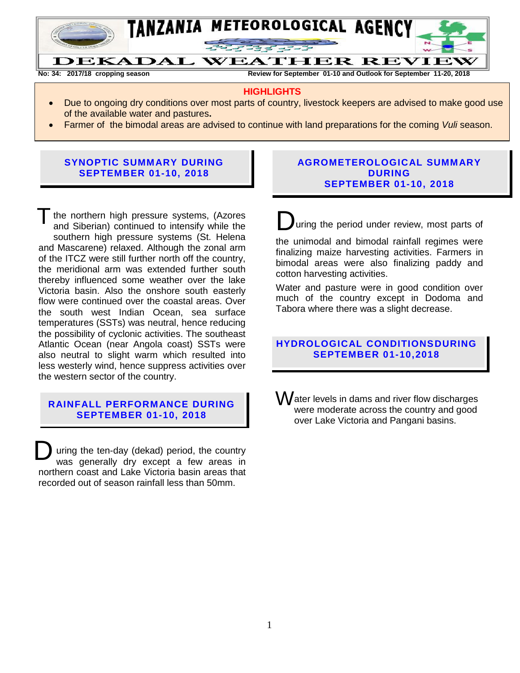

**No: 34: 2017/18 cropping season Review for September 01-10 and Outlook for September 11-20, 2018**

#### **HIGHLIGHTS**

- Due to ongoing dry conditions over most parts of country, livestock keepers are advised to make good use of the available water and pastures**.**
- Farmer of the bimodal areas are advised to continue with land preparations for the coming *Vuli* season.

## **SYNOPTIC SUMMARY DURING SEPTEMBER 01-10, 2018**

T the northern high pressure systems, (Azores<br>and Siberian) continued to intensify while the and Siberian) continued to intensify while the southern high pressure systems (St. Helena and Mascarene) relaxed. Although the zonal arm of the ITCZ were still further north off the country, the meridional arm was extended further south thereby influenced some weather over the lake Victoria basin. Also the onshore south easterly flow were continued over the coastal areas. Over the south west Indian Ocean, sea surface temperatures (SSTs) was neutral, hence reducing the possibility of cyclonic activities. The southeast Atlantic Ocean (near Angola coast) SSTs were also neutral to slight warm which resulted into less westerly wind, hence suppress activities over the western sector of the country.

## **RAINFALL PERFORMANCE DURING SEPTEMBER 01-10, 2018**

uring the ten-day (dekad) period, the country was generally dry except a few areas in northern coast and Lake Victoria basin areas that recorded out of season rainfall less than 50mm. D

#### **AGROMETEROLOGICAL SUMMARY DURING SEPTEMBER 01-10, 2018**

uring the period under review, most parts of

the unimodal and bimodal rainfall regimes were finalizing maize harvesting activities. Farmers in bimodal areas were also finalizing paddy and cotton harvesting activities.

Water and pasture were in good condition over much of the country except in Dodoma and Tabora where there was a slight decrease.

## **HYDROLOGICAL CONDITIONSDURING SEPTEMBER 01-10,2018**

Water levels in dams and river flow discharges were moderate across the country and good over Lake Victoria and Pangani basins.